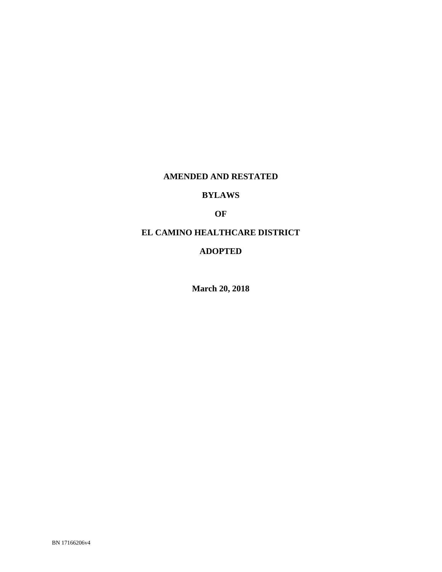## **AMENDED AND RESTATED**

## **BYLAWS**

## **OF**

# **EL CAMINO HEALTHCARE DISTRICT**

### **ADOPTED**

**March 20, 2018**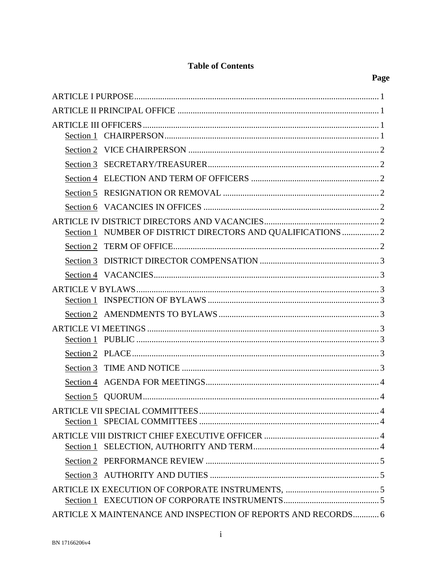## **Table of Contents**

| Section 1 |                                                               |  |
|-----------|---------------------------------------------------------------|--|
|           |                                                               |  |
|           |                                                               |  |
|           |                                                               |  |
|           |                                                               |  |
|           |                                                               |  |
|           |                                                               |  |
|           | Section 1 NUMBER OF DISTRICT DIRECTORS AND QUALIFICATIONS  2  |  |
|           |                                                               |  |
|           |                                                               |  |
|           |                                                               |  |
|           |                                                               |  |
|           |                                                               |  |
|           |                                                               |  |
|           |                                                               |  |
|           |                                                               |  |
|           |                                                               |  |
| Section 3 |                                                               |  |
| Section 4 |                                                               |  |
|           |                                                               |  |
|           |                                                               |  |
|           |                                                               |  |
|           |                                                               |  |
|           |                                                               |  |
|           |                                                               |  |
|           |                                                               |  |
|           |                                                               |  |
|           | ARTICLE X MAINTENANCE AND INSPECTION OF REPORTS AND RECORDS 6 |  |
|           |                                                               |  |

Page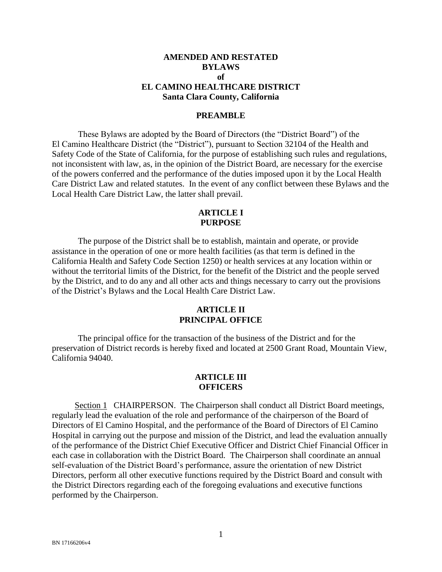### **AMENDED AND RESTATED BYLAWS of EL CAMINO HEALTHCARE DISTRICT Santa Clara County, California**

#### **PREAMBLE**

These Bylaws are adopted by the Board of Directors (the "District Board") of the El Camino Healthcare District (the "District"), pursuant to Section 32104 of the Health and Safety Code of the State of California, for the purpose of establishing such rules and regulations, not inconsistent with law, as, in the opinion of the District Board, are necessary for the exercise of the powers conferred and the performance of the duties imposed upon it by the Local Health Care District Law and related statutes. In the event of any conflict between these Bylaws and the Local Health Care District Law, the latter shall prevail.

#### **ARTICLE I PURPOSE**

The purpose of the District shall be to establish, maintain and operate, or provide assistance in the operation of one or more health facilities (as that term is defined in the California Health and Safety Code Section 1250) or health services at any location within or without the territorial limits of the District, for the benefit of the District and the people served by the District, and to do any and all other acts and things necessary to carry out the provisions of the District's Bylaws and the Local Health Care District Law.

### **ARTICLE II PRINCIPAL OFFICE**

The principal office for the transaction of the business of the District and for the preservation of District records is hereby fixed and located at 2500 Grant Road, Mountain View, California 94040.

#### **ARTICLE III OFFICERS**

Section 1 CHAIRPERSON. The Chairperson shall conduct all District Board meetings, regularly lead the evaluation of the role and performance of the chairperson of the Board of Directors of El Camino Hospital, and the performance of the Board of Directors of El Camino Hospital in carrying out the purpose and mission of the District, and lead the evaluation annually of the performance of the District Chief Executive Officer and District Chief Financial Officer in each case in collaboration with the District Board. The Chairperson shall coordinate an annual self-evaluation of the District Board's performance, assure the orientation of new District Directors, perform all other executive functions required by the District Board and consult with the District Directors regarding each of the foregoing evaluations and executive functions performed by the Chairperson.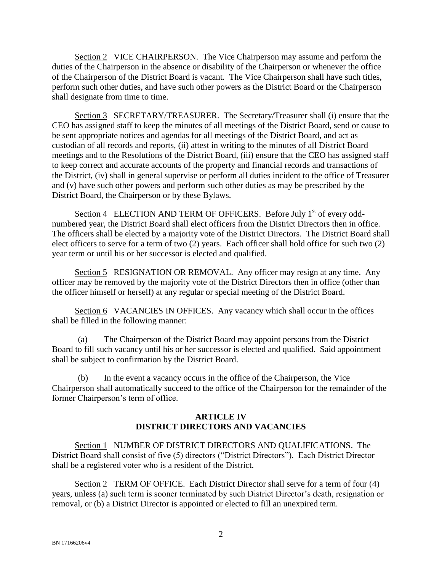Section 2 VICE CHAIRPERSON. The Vice Chairperson may assume and perform the duties of the Chairperson in the absence or disability of the Chairperson or whenever the office of the Chairperson of the District Board is vacant. The Vice Chairperson shall have such titles, perform such other duties, and have such other powers as the District Board or the Chairperson shall designate from time to time.

Section 3 SECRETARY/TREASURER. The Secretary/Treasurer shall (i) ensure that the CEO has assigned staff to keep the minutes of all meetings of the District Board, send or cause to be sent appropriate notices and agendas for all meetings of the District Board, and act as custodian of all records and reports, (ii) attest in writing to the minutes of all District Board meetings and to the Resolutions of the District Board, (iii) ensure that the CEO has assigned staff to keep correct and accurate accounts of the property and financial records and transactions of the District, (iv) shall in general supervise or perform all duties incident to the office of Treasurer and (v) have such other powers and perform such other duties as may be prescribed by the District Board, the Chairperson or by these Bylaws.

Section 4 ELECTION AND TERM OF OFFICERS. Before July 1<sup>st</sup> of every oddnumbered year, the District Board shall elect officers from the District Directors then in office. The officers shall be elected by a majority vote of the District Directors. The District Board shall elect officers to serve for a term of two (2) years. Each officer shall hold office for such two (2) year term or until his or her successor is elected and qualified.

Section 5 RESIGNATION OR REMOVAL. Any officer may resign at any time. Any officer may be removed by the majority vote of the District Directors then in office (other than the officer himself or herself) at any regular or special meeting of the District Board.

Section 6 VACANCIES IN OFFICES. Any vacancy which shall occur in the offices shall be filled in the following manner:

(a) The Chairperson of the District Board may appoint persons from the District Board to fill such vacancy until his or her successor is elected and qualified. Said appointment shall be subject to confirmation by the District Board.

(b) In the event a vacancy occurs in the office of the Chairperson, the Vice Chairperson shall automatically succeed to the office of the Chairperson for the remainder of the former Chairperson's term of office.

## **ARTICLE IV DISTRICT DIRECTORS AND VACANCIES**

Section 1 NUMBER OF DISTRICT DIRECTORS AND QUALIFICATIONS. The District Board shall consist of five (5) directors ("District Directors"). Each District Director shall be a registered voter who is a resident of the District.

Section 2 TERM OF OFFICE. Each District Director shall serve for a term of four (4) years, unless (a) such term is sooner terminated by such District Director's death, resignation or removal, or (b) a District Director is appointed or elected to fill an unexpired term.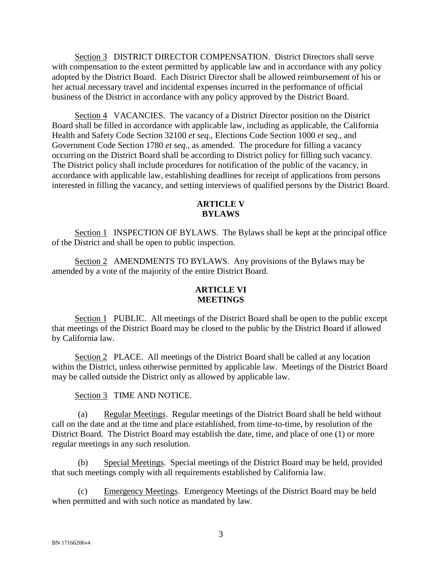Section 3 DISTRICT DIRECTOR COMPENSATION. District Directors shall serve with compensation to the extent permitted by applicable law and in accordance with any policy adopted by the District Board. Each District Director shall be allowed reimbursement of his or her actual necessary travel and incidental expenses incurred in the performance of official business of the District in accordance with any policy approved by the District Board.

Section 4 VACANCIES. The vacancy of a District Director position on the District Board shall be filled in accordance with applicable law, including as applicable, the California Health and Safety Code Section 32100 *et seq*., Elections Code Section 1000 *et seq.*, and Government Code Section 1780 *et seq*., as amended. The procedure for filling a vacancy occurring on the District Board shall be according to District policy for filling such vacancy. The District policy shall include procedures for notification of the public of the vacancy, in accordance with applicable law, establishing deadlines for receipt of applications from persons interested in filling the vacancy, and setting interviews of qualified persons by the District Board.

## **ARTICLE V BYLAWS**

Section 1 INSPECTION OF BYLAWS. The Bylaws shall be kept at the principal office of the District and shall be open to public inspection.

Section 2 AMENDMENTS TO BYLAWS. Any provisions of the Bylaws may be amended by a vote of the majority of the entire District Board.

## **ARTICLE VI MEETINGS**

Section 1 PUBLIC. All meetings of the District Board shall be open to the public except that meetings of the District Board may be closed to the public by the District Board if allowed by California law.

Section 2 PLACE. All meetings of the District Board shall be called at any location within the District, unless otherwise permitted by applicable law. Meetings of the District Board may be called outside the District only as allowed by applicable law.

Section 3 TIME AND NOTICE.

(a) Regular Meetings. Regular meetings of the District Board shall be held without call on the date and at the time and place established, from time-to-time, by resolution of the District Board. The District Board may establish the date, time, and place of one (1) or more regular meetings in any such resolution.

(b) Special Meetings. Special meetings of the District Board may be held, provided that such meetings comply with all requirements established by California law.

(c) Emergency Meetings. Emergency Meetings of the District Board may be held when permitted and with such notice as mandated by law.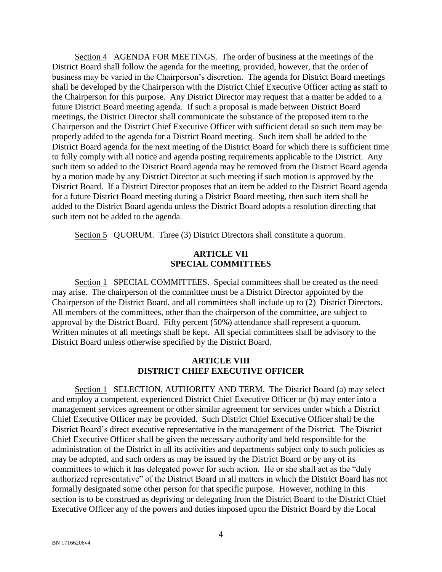Section 4 AGENDA FOR MEETINGS. The order of business at the meetings of the District Board shall follow the agenda for the meeting, provided, however, that the order of business may be varied in the Chairperson's discretion. The agenda for District Board meetings shall be developed by the Chairperson with the District Chief Executive Officer acting as staff to the Chairperson for this purpose. Any District Director may request that a matter be added to a future District Board meeting agenda. If such a proposal is made between District Board meetings, the District Director shall communicate the substance of the proposed item to the Chairperson and the District Chief Executive Officer with sufficient detail so such item may be properly added to the agenda for a District Board meeting. Such item shall be added to the District Board agenda for the next meeting of the District Board for which there is sufficient time to fully comply with all notice and agenda posting requirements applicable to the District. Any such item so added to the District Board agenda may be removed from the District Board agenda by a motion made by any District Director at such meeting if such motion is approved by the District Board. If a District Director proposes that an item be added to the District Board agenda for a future District Board meeting during a District Board meeting, then such item shall be added to the District Board agenda unless the District Board adopts a resolution directing that such item not be added to the agenda.

Section 5 QUORUM. Three (3) District Directors shall constitute a quorum.

### **ARTICLE VII SPECIAL COMMITTEES**

Section 1 SPECIAL COMMITTEES. Special committees shall be created as the need may arise. The chairperson of the committee must be a District Director appointed by the Chairperson of the District Board, and all committees shall include up to (2) District Directors. All members of the committees, other than the chairperson of the committee, are subject to approval by the District Board. Fifty percent (50%) attendance shall represent a quorum. Written minutes of all meetings shall be kept. All special committees shall be advisory to the District Board unless otherwise specified by the District Board.

### **ARTICLE VIII DISTRICT CHIEF EXECUTIVE OFFICER**

Section 1 SELECTION, AUTHORITY AND TERM. The District Board (a) may select and employ a competent, experienced District Chief Executive Officer or (b) may enter into a management services agreement or other similar agreement for services under which a District Chief Executive Officer may be provided. Such District Chief Executive Officer shall be the District Board's direct executive representative in the management of the District. The District Chief Executive Officer shall be given the necessary authority and held responsible for the administration of the District in all its activities and departments subject only to such policies as may be adopted, and such orders as may be issued by the District Board or by any of its committees to which it has delegated power for such action. He or she shall act as the "duly authorized representative" of the District Board in all matters in which the District Board has not formally designated some other person for that specific purpose. However, nothing in this section is to be construed as depriving or delegating from the District Board to the District Chief Executive Officer any of the powers and duties imposed upon the District Board by the Local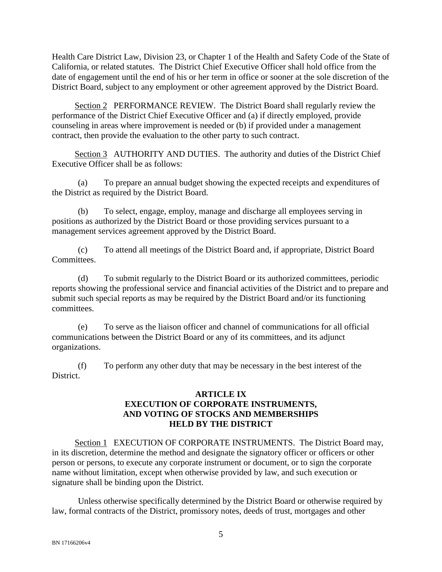Health Care District Law, Division 23, or Chapter 1 of the Health and Safety Code of the State of California, or related statutes. The District Chief Executive Officer shall hold office from the date of engagement until the end of his or her term in office or sooner at the sole discretion of the District Board, subject to any employment or other agreement approved by the District Board.

Section 2 PERFORMANCE REVIEW. The District Board shall regularly review the performance of the District Chief Executive Officer and (a) if directly employed, provide counseling in areas where improvement is needed or (b) if provided under a management contract, then provide the evaluation to the other party to such contract.

Section 3 AUTHORITY AND DUTIES. The authority and duties of the District Chief Executive Officer shall be as follows:

(a) To prepare an annual budget showing the expected receipts and expenditures of the District as required by the District Board.

(b) To select, engage, employ, manage and discharge all employees serving in positions as authorized by the District Board or those providing services pursuant to a management services agreement approved by the District Board.

(c) To attend all meetings of the District Board and, if appropriate, District Board Committees.

(d) To submit regularly to the District Board or its authorized committees, periodic reports showing the professional service and financial activities of the District and to prepare and submit such special reports as may be required by the District Board and/or its functioning committees.

(e) To serve as the liaison officer and channel of communications for all official communications between the District Board or any of its committees, and its adjunct organizations.

(f) To perform any other duty that may be necessary in the best interest of the District.

## **ARTICLE IX EXECUTION OF CORPORATE INSTRUMENTS, AND VOTING OF STOCKS AND MEMBERSHIPS HELD BY THE DISTRICT**

Section 1 EXECUTION OF CORPORATE INSTRUMENTS. The District Board may, in its discretion, determine the method and designate the signatory officer or officers or other person or persons, to execute any corporate instrument or document, or to sign the corporate name without limitation, except when otherwise provided by law, and such execution or signature shall be binding upon the District.

Unless otherwise specifically determined by the District Board or otherwise required by law, formal contracts of the District, promissory notes, deeds of trust, mortgages and other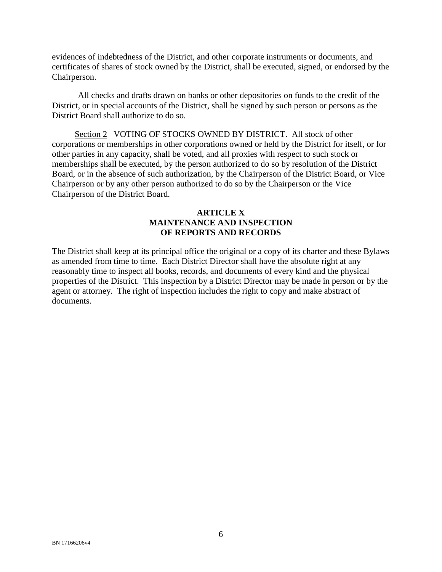evidences of indebtedness of the District, and other corporate instruments or documents, and certificates of shares of stock owned by the District, shall be executed, signed, or endorsed by the Chairperson.

All checks and drafts drawn on banks or other depositories on funds to the credit of the District, or in special accounts of the District, shall be signed by such person or persons as the District Board shall authorize to do so.

Section 2 VOTING OF STOCKS OWNED BY DISTRICT. All stock of other corporations or memberships in other corporations owned or held by the District for itself, or for other parties in any capacity, shall be voted, and all proxies with respect to such stock or memberships shall be executed, by the person authorized to do so by resolution of the District Board, or in the absence of such authorization, by the Chairperson of the District Board, or Vice Chairperson or by any other person authorized to do so by the Chairperson or the Vice Chairperson of the District Board.

### **ARTICLE X MAINTENANCE AND INSPECTION OF REPORTS AND RECORDS**

The District shall keep at its principal office the original or a copy of its charter and these Bylaws as amended from time to time. Each District Director shall have the absolute right at any reasonably time to inspect all books, records, and documents of every kind and the physical properties of the District. This inspection by a District Director may be made in person or by the agent or attorney. The right of inspection includes the right to copy and make abstract of documents.